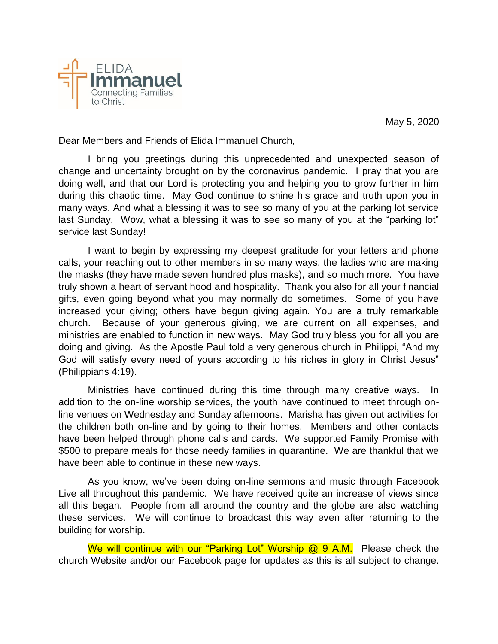May 5, 2020



Dear Members and Friends of Elida Immanuel Church,

I bring you greetings during this unprecedented and unexpected season of change and uncertainty brought on by the coronavirus pandemic. I pray that you are doing well, and that our Lord is protecting you and helping you to grow further in him during this chaotic time. May God continue to shine his grace and truth upon you in many ways. And what a blessing it was to see so many of you at the parking lot service last Sunday. Wow, what a blessing it was to see so many of you at the "parking lot" service last Sunday!

I want to begin by expressing my deepest gratitude for your letters and phone calls, your reaching out to other members in so many ways, the ladies who are making the masks (they have made seven hundred plus masks), and so much more. You have truly shown a heart of servant hood and hospitality. Thank you also for all your financial gifts, even going beyond what you may normally do sometimes. Some of you have increased your giving; others have begun giving again. You are a truly remarkable church. Because of your generous giving, we are current on all expenses, and ministries are enabled to function in new ways. May God truly bless you for all you are doing and giving. As the Apostle Paul told a very generous church in Philippi, "And my God will satisfy every need of yours according to his riches in glory in Christ Jesus" (Philippians 4:19).

Ministries have continued during this time through many creative ways. In addition to the on-line worship services, the youth have continued to meet through online venues on Wednesday and Sunday afternoons. Marisha has given out activities for the children both on-line and by going to their homes. Members and other contacts have been helped through phone calls and cards. We supported Family Promise with \$500 to prepare meals for those needy families in quarantine. We are thankful that we have been able to continue in these new ways.

As you know, we've been doing on-line sermons and music through Facebook Live all throughout this pandemic. We have received quite an increase of views since all this began. People from all around the country and the globe are also watching these services. We will continue to broadcast this way even after returning to the building for worship.

We will continue with our "Parking Lot" Worship @ 9 A.M. Please check the church Website and/or our Facebook page for updates as this is all subject to change.